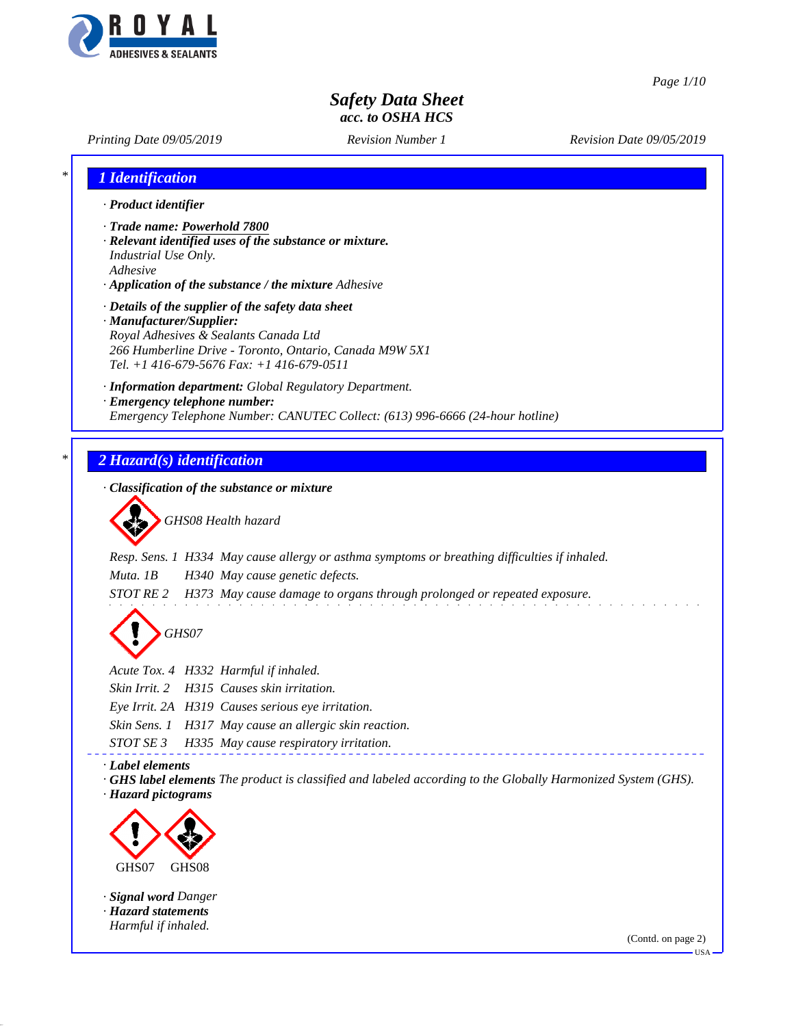

*Page 1/10*

# *Safety Data Sheet acc. to OSHA HCS*

*Printing Date 09/05/2019 Revision Number 1 Revision Date 09/05/2019*

| 1 Identification                        |                                                                                                                                                                                                     |
|-----------------------------------------|-----------------------------------------------------------------------------------------------------------------------------------------------------------------------------------------------------|
| · Product identifier                    |                                                                                                                                                                                                     |
| Industrial Use Only.<br>Adhesive        | · Trade name: Powerhold 7800<br>· Relevant identified uses of the substance or mixture.<br>· Application of the substance / the mixture Adhesive                                                    |
| · Manufacturer/Supplier:                | · Details of the supplier of the safety data sheet<br>Royal Adhesives & Sealants Canada Ltd<br>266 Humberline Drive - Toronto, Ontario, Canada M9W 5X1<br>Tel. +1 416-679-5676 Fax: +1 416-679-0511 |
|                                         | · Information department: Global Regulatory Department.<br>· Emergency telephone number:<br>Emergency Telephone Number: CANUTEC Collect: (613) 996-6666 (24-hour hotline)                           |
|                                         |                                                                                                                                                                                                     |
|                                         | 2 Hazard(s) identification                                                                                                                                                                          |
|                                         | · Classification of the substance or mixture                                                                                                                                                        |
|                                         | GHS08 Health hazard                                                                                                                                                                                 |
|                                         | Resp. Sens. 1 H334 May cause allergy or asthma symptoms or breathing difficulties if inhaled.                                                                                                       |
| Muta. 1B                                | H340 May cause genetic defects.                                                                                                                                                                     |
| <i>STOT RE 2</i>                        | H373 May cause damage to organs through prolonged or repeated exposure.                                                                                                                             |
|                                         | GHS07                                                                                                                                                                                               |
|                                         | Acute Tox. 4 H332 Harmful if inhaled.                                                                                                                                                               |
| Skin Irrit. 2                           | H315 Causes skin irritation.                                                                                                                                                                        |
|                                         | Eye Irrit. 2A H319 Causes serious eye irritation.                                                                                                                                                   |
|                                         | Skin Sens. 1 H317 May cause an allergic skin reaction.                                                                                                                                              |
| STOT SE 3                               | H335 May cause respiratory irritation.                                                                                                                                                              |
| · Label elements<br>· Hazard pictograms | · GHS label elements The product is classified and labeled according to the Globally Harmonized System (GHS).                                                                                       |
|                                         |                                                                                                                                                                                                     |
|                                         |                                                                                                                                                                                                     |
|                                         |                                                                                                                                                                                                     |

*· Signal word Danger · Hazard statements Harmful if inhaled.*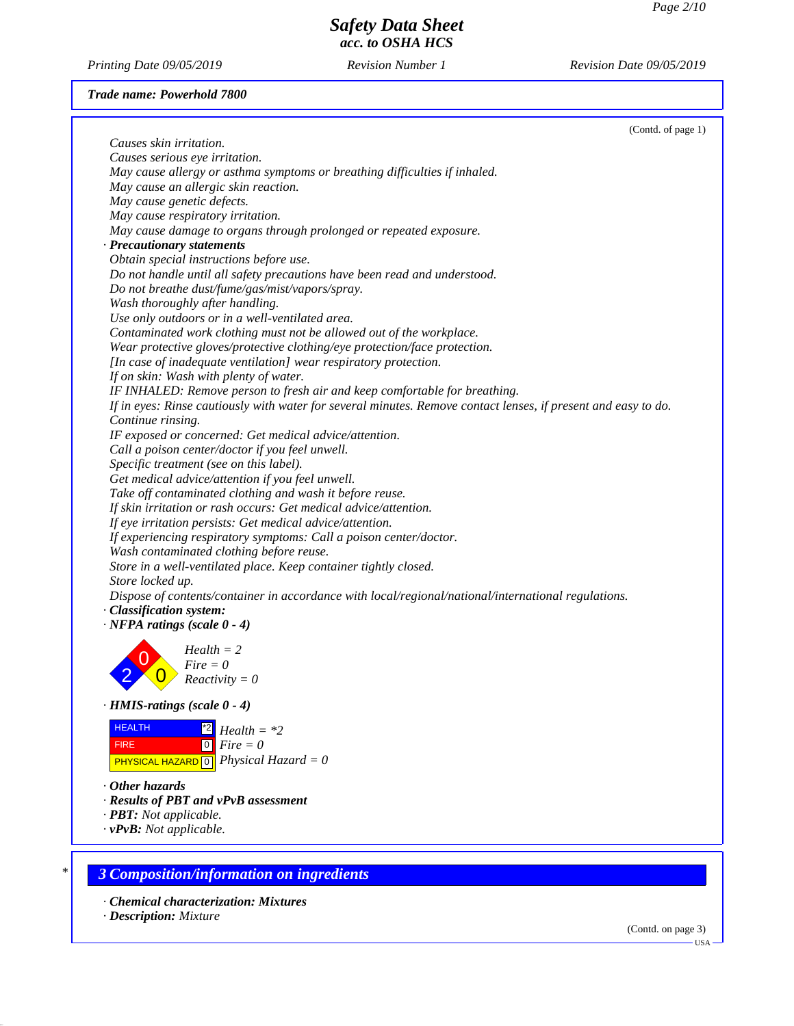*Printing Date 09/05/2019 Revision Number 1 Revision Date 09/05/2019*

### *Trade name: Powerhold 7800*

|                                    |                                                                                                                | (Contd. of page 1) |
|------------------------------------|----------------------------------------------------------------------------------------------------------------|--------------------|
| Causes skin irritation.            |                                                                                                                |                    |
| Causes serious eye irritation.     |                                                                                                                |                    |
|                                    | May cause allergy or asthma symptoms or breathing difficulties if inhaled.                                     |                    |
|                                    | May cause an allergic skin reaction.                                                                           |                    |
| May cause genetic defects.         |                                                                                                                |                    |
|                                    | May cause respiratory irritation.                                                                              |                    |
|                                    | May cause damage to organs through prolonged or repeated exposure.                                             |                    |
| · Precautionary statements         |                                                                                                                |                    |
|                                    | Obtain special instructions before use.                                                                        |                    |
|                                    | Do not handle until all safety precautions have been read and understood.                                      |                    |
|                                    | Do not breathe dust/fume/gas/mist/vapors/spray.                                                                |                    |
|                                    | Wash thoroughly after handling.                                                                                |                    |
|                                    | Use only outdoors or in a well-ventilated area.                                                                |                    |
|                                    | Contaminated work clothing must not be allowed out of the workplace.                                           |                    |
|                                    | Wear protective gloves/protective clothing/eye protection/face protection.                                     |                    |
|                                    | [In case of inadequate ventilation] wear respiratory protection.                                               |                    |
|                                    | If on skin: Wash with plenty of water.                                                                         |                    |
|                                    | IF INHALED: Remove person to fresh air and keep comfortable for breathing.                                     |                    |
|                                    | If in eyes: Rinse cautiously with water for several minutes. Remove contact lenses, if present and easy to do. |                    |
| Continue rinsing.                  |                                                                                                                |                    |
|                                    | IF exposed or concerned: Get medical advice/attention.                                                         |                    |
|                                    | Call a poison center/doctor if you feel unwell.                                                                |                    |
|                                    | Specific treatment (see on this label).                                                                        |                    |
|                                    | Get medical advice/attention if you feel unwell.                                                               |                    |
|                                    | Take off contaminated clothing and wash it before reuse.                                                       |                    |
|                                    | If skin irritation or rash occurs: Get medical advice/attention.                                               |                    |
|                                    | If eye irritation persists: Get medical advice/attention.                                                      |                    |
|                                    | If experiencing respiratory symptoms: Call a poison center/doctor.                                             |                    |
|                                    | Wash contaminated clothing before reuse.                                                                       |                    |
|                                    | Store in a well-ventilated place. Keep container tightly closed.                                               |                    |
| Store locked up.                   |                                                                                                                |                    |
|                                    | Dispose of contents/container in accordance with local/regional/national/international regulations.            |                    |
| · Classification system:           |                                                                                                                |                    |
| $\cdot$ NFPA ratings (scale 0 - 4) |                                                                                                                |                    |
|                                    | $Health = 2$                                                                                                   |                    |
|                                    | $Fire = 0$                                                                                                     |                    |
|                                    | $Reactivity = 0$                                                                                               |                    |
|                                    |                                                                                                                |                    |
| HMIS-ratings (scale 0 - 4)         |                                                                                                                |                    |
| <b>HEALTH</b>                      | $^{\ast 2}$                                                                                                    |                    |
|                                    | $Health = *2$                                                                                                  |                    |
| <b>FIRE</b>                        | $Fire = 0$<br> 0                                                                                               |                    |
|                                    | <b>PHYSICAL HAZARD</b> $\boxed{0}$ <i>Physical Hazard</i> = 0                                                  |                    |
| $\cdot$ Other hazards              |                                                                                                                |                    |
|                                    | · Results of PBT and vPvB assessment                                                                           |                    |
| · PBT: Not applicable.             |                                                                                                                |                    |
| $\cdot v$ PvB: Not applicable.     |                                                                                                                |                    |
|                                    |                                                                                                                |                    |
|                                    |                                                                                                                |                    |
|                                    | <b>3 Composition/information on ingredients</b>                                                                |                    |
|                                    |                                                                                                                |                    |
|                                    | · Chemical characterization: Mixtures                                                                          |                    |
|                                    |                                                                                                                |                    |

*· Description: Mixture*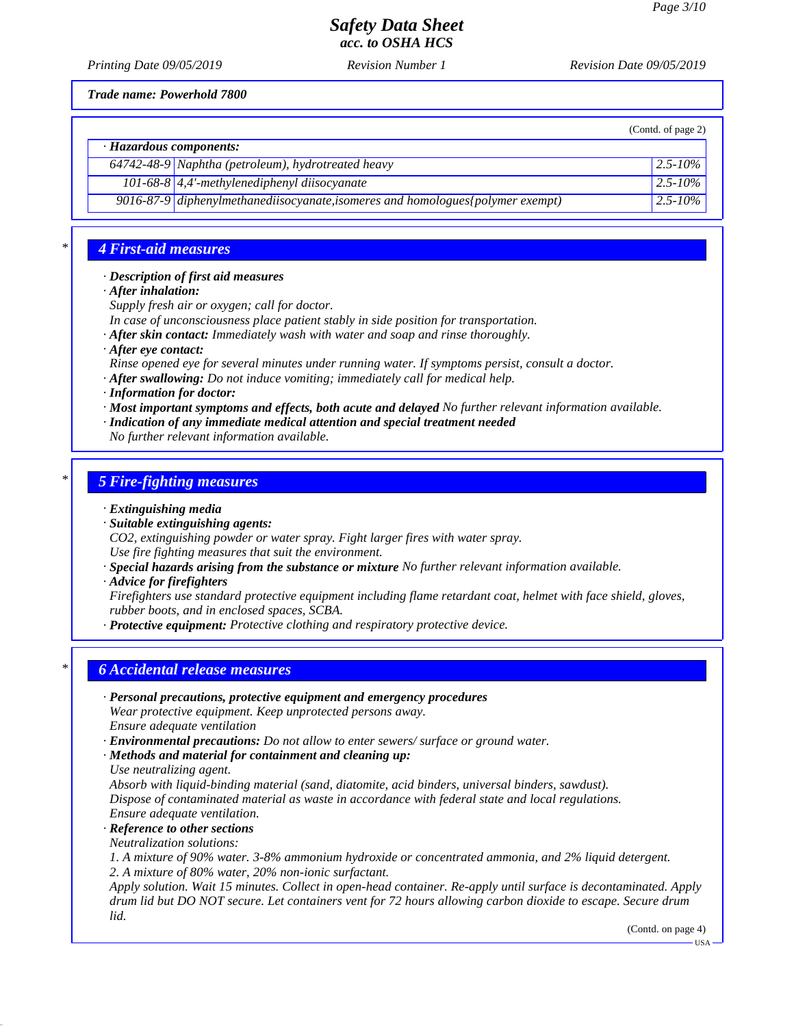(Contd. of page 2)

## *Safety Data Sheet acc. to OSHA HCS*

*Printing Date 09/05/2019 Revision Number 1 Revision Date 09/05/2019*

*Trade name: Powerhold 7800*

*· Hazardous components:*

| <b>Here</b> we we componented. |                                                                                 |                          |  |
|--------------------------------|---------------------------------------------------------------------------------|--------------------------|--|
|                                | $64742-48-9$ Naphtha (petroleum), hydrotreated heavy                            | $\vert 2.5 - 10\% \vert$ |  |
|                                | 101-68-8 $\vert$ 4,4'-methylenediphenyl diisocyanate                            | $2.5 - 10\%$             |  |
|                                | 9016-87-9 diphenylmethanediisocyanate, isomeres and homologues {polymer exempt} | $12.5 - 10\%$            |  |

### *\* 4 First-aid measures*

### *· Description of first aid measures*

*· After inhalation:*

*Supply fresh air or oxygen; call for doctor.*

*In case of unconsciousness place patient stably in side position for transportation.*

- *· After skin contact: Immediately wash with water and soap and rinse thoroughly.*
- *· After eye contact:*

*Rinse opened eye for several minutes under running water. If symptoms persist, consult a doctor.*

- *· After swallowing: Do not induce vomiting; immediately call for medical help.*
- *· Information for doctor:*

*· Most important symptoms and effects, both acute and delayed No further relevant information available.*

*· Indication of any immediate medical attention and special treatment needed*

*No further relevant information available.*

### *\* 5 Fire-fighting measures*

- *· Extinguishing media*
- *· Suitable extinguishing agents:*

*CO2, extinguishing powder or water spray. Fight larger fires with water spray.*

*Use fire fighting measures that suit the environment.*

- *· Special hazards arising from the substance or mixture No further relevant information available.*
- *· Advice for firefighters*

*Firefighters use standard protective equipment including flame retardant coat, helmet with face shield, gloves, rubber boots, and in enclosed spaces, SCBA.*

*· Protective equipment: Protective clothing and respiratory protective device.*

### *\* 6 Accidental release measures*

- *· Personal precautions, protective equipment and emergency procedures Wear protective equipment. Keep unprotected persons away. Ensure adequate ventilation*
- *· Environmental precautions: Do not allow to enter sewers/ surface or ground water.*
- *· Methods and material for containment and cleaning up:*
- *Use neutralizing agent.*

*Absorb with liquid-binding material (sand, diatomite, acid binders, universal binders, sawdust). Dispose of contaminated material as waste in accordance with federal state and local regulations. Ensure adequate ventilation.*

*· Reference to other sections*

*Neutralization solutions:*

*1. A mixture of 90% water. 3-8% ammonium hydroxide or concentrated ammonia, and 2% liquid detergent. 2. A mixture of 80% water, 20% non-ionic surfactant.*

*Apply solution. Wait 15 minutes. Collect in open-head container. Re-apply until surface is decontaminated. Apply drum lid but DO NOT secure. Let containers vent for 72 hours allowing carbon dioxide to escape. Secure drum lid.*

(Contd. on page 4)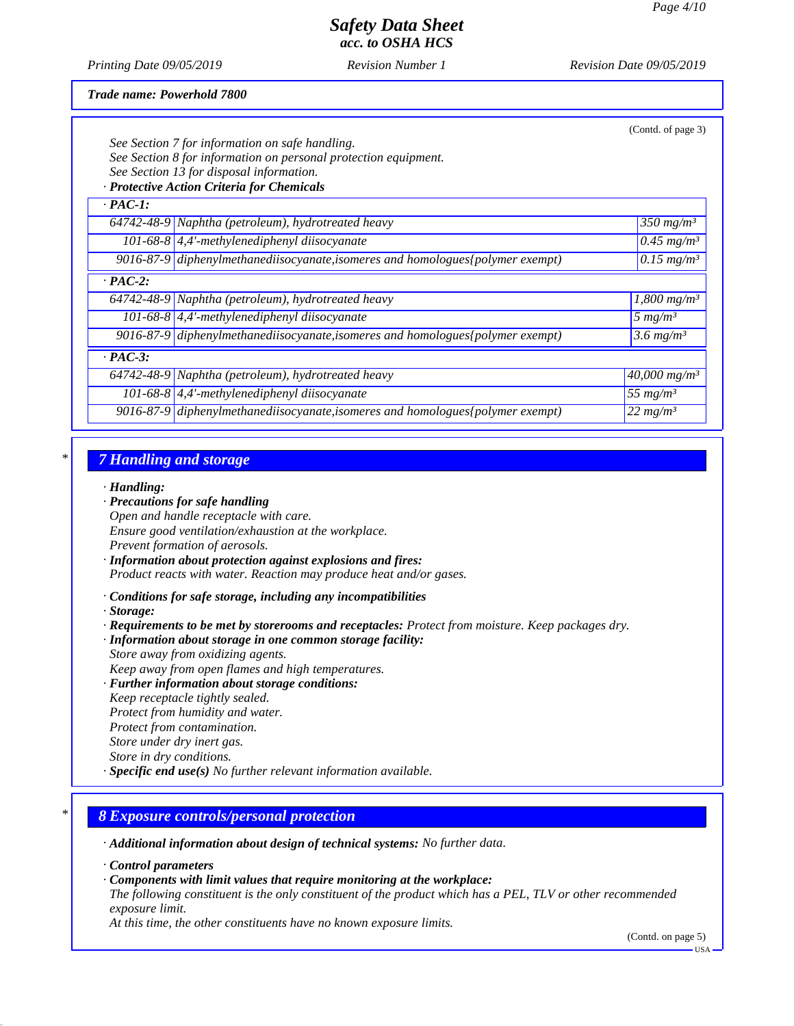*Printing Date 09/05/2019 Revision Number 1 Revision Date 09/05/2019*

*Trade name: Powerhold 7800*

|                | See Section 7 for information on safe handling.<br>See Section 8 for information on personal protection equipment.<br>See Section 13 for disposal information.<br>· Protective Action Criteria for Chemicals | (Contd. of page 3)              |
|----------------|--------------------------------------------------------------------------------------------------------------------------------------------------------------------------------------------------------------|---------------------------------|
| $\cdot$ PAC-1: |                                                                                                                                                                                                              |                                 |
|                | 64742-48-9 Naphtha (petroleum), hydrotreated heavy                                                                                                                                                           | 350 mg/m <sup>3</sup>           |
|                | 101-68-8 $\vert 4,4 \rangle$ -methylenediphenyl diisocyanate                                                                                                                                                 | $\sqrt{0.45}$ mg/m <sup>3</sup> |
|                | 9016-87-9 diphenylmethanediisocyanate, isomeres and homologues (polymer exempt)                                                                                                                              | $0.15 \, mg/m^3$                |
| $\cdot$ PAC-2: |                                                                                                                                                                                                              |                                 |
|                | 64742-48-9 Naphtha (petroleum), hydrotreated heavy                                                                                                                                                           | $1,800$ mg/m <sup>3</sup>       |
|                | 101-68-8 $ 4,4'$ -methylenediphenyl diisocyanate                                                                                                                                                             | 5 $mg/m^3$                      |
|                | 9016-87-9 diphenylmethanediisocyanate, isomeres and homologues (polymer exempt)                                                                                                                              | 3.6 $mg/m^3$                    |
| $\cdot$ PAC-3: |                                                                                                                                                                                                              |                                 |
|                | $64742-48-9$ Naphtha (petroleum), hydrotreated heavy                                                                                                                                                         | $40,000$ mg/m <sup>3</sup>      |
|                | 101-68-8 $\vert$ 4,4'-methylenediphenyl diisocyanate                                                                                                                                                         | 55 $mg/m^3$                     |
|                | 9016-87-9 diphenylmethanediisocyanate, isomeres and homologues {polymer exempt}                                                                                                                              | $22$ mg/m <sup>3</sup>          |

## *\* 7 Handling and storage*

#### *· Handling:*

- *· Precautions for safe handling*
- *Open and handle receptacle with care. Ensure good ventilation/exhaustion at the workplace. Prevent formation of aerosols.*
- *· Information about protection against explosions and fires: Product reacts with water. Reaction may produce heat and/or gases.*
- *· Conditions for safe storage, including any incompatibilities*
- *· Storage:*
- *· Requirements to be met by storerooms and receptacles: Protect from moisture. Keep packages dry.*
- *· Information about storage in one common storage facility:*
- *Store away from oxidizing agents. Keep away from open flames and high temperatures.*
- *· Further information about storage conditions:*
- *Keep receptacle tightly sealed.*
- *Protect from humidity and water.*
- *Protect from contamination.*
- *Store under dry inert gas.*
- *Store in dry conditions.*
- *· Specific end use(s) No further relevant information available.*

### *\* 8 Exposure controls/personal protection*

- *· Additional information about design of technical systems: No further data.*
- *· Control parameters*
- *· Components with limit values that require monitoring at the workplace:*
- *The following constituent is the only constituent of the product which has a PEL, TLV or other recommended exposure limit.*

*At this time, the other constituents have no known exposure limits.*

(Contd. on page 5)

 $-11S_A$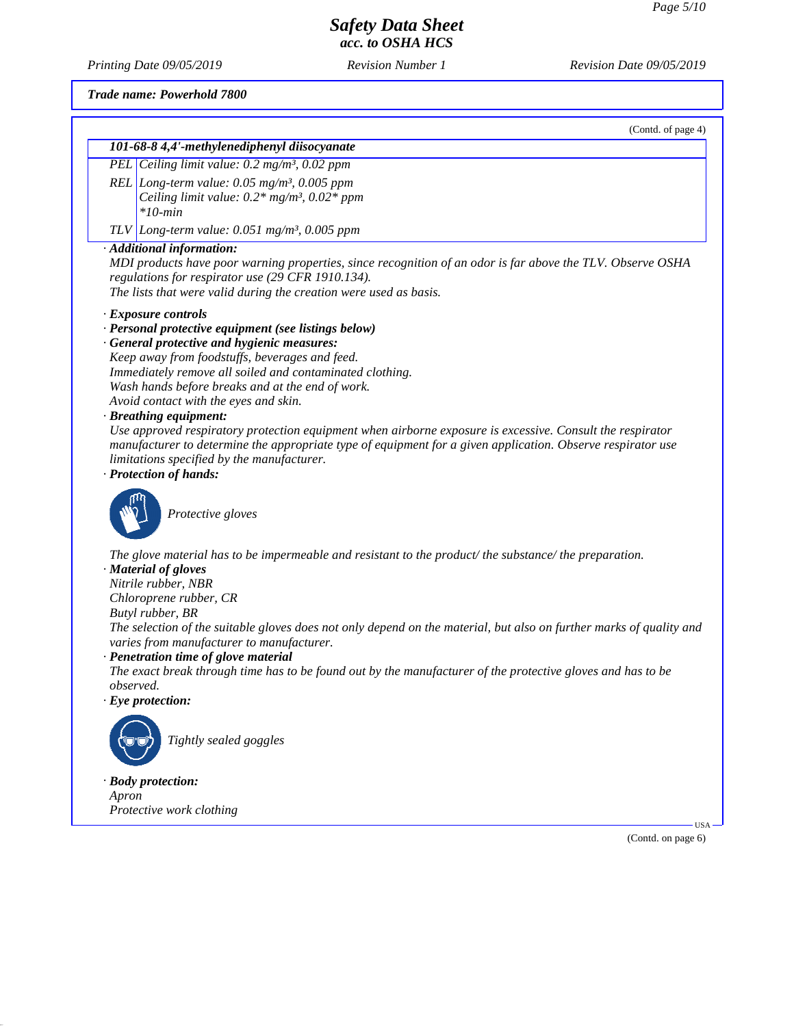*Printing Date 09/05/2019 Revision Number 1 Revision Date 09/05/2019*

*Trade name: Powerhold 7800*

*Protective work clothing*

(Contd. of page 4)

|                  | 101-68-8 4,4'-methylenediphenyl diisocyanate                                                                        |
|------------------|---------------------------------------------------------------------------------------------------------------------|
|                  | PEL Ceiling limit value: 0.2 mg/m <sup>3</sup> , 0.02 ppm                                                           |
|                  | REL Long-term value: $0.05$ mg/m <sup>3</sup> , $0.005$ ppm                                                         |
|                  | Ceiling limit value: $0.2*$ mg/m <sup>3</sup> , $0.02*$ ppm                                                         |
|                  | $*10$ -min                                                                                                          |
|                  | TLV Long-term value: $0.051$ mg/m <sup>3</sup> , 0.005 ppm                                                          |
|                  | · Additional information:                                                                                           |
|                  | MDI products have poor warning properties, since recognition of an odor is far above the TLV. Observe OSHA          |
|                  | regulations for respirator use (29 CFR 1910.134).                                                                   |
|                  | The lists that were valid during the creation were used as basis.                                                   |
|                  | · Exposure controls                                                                                                 |
|                  | · Personal protective equipment (see listings below)                                                                |
|                  | · General protective and hygienic measures:                                                                         |
|                  | Keep away from foodstuffs, beverages and feed.                                                                      |
|                  | Immediately remove all soiled and contaminated clothing.                                                            |
|                  | Wash hands before breaks and at the end of work.<br>Avoid contact with the eyes and skin.                           |
|                  | · Breathing equipment:                                                                                              |
|                  | Use approved respiratory protection equipment when airborne exposure is excessive. Consult the respirator           |
|                  | manufacturer to determine the appropriate type of equipment for a given application. Observe respirator use         |
|                  | limitations specified by the manufacturer.                                                                          |
|                  | · Protection of hands:                                                                                              |
|                  | Protective gloves                                                                                                   |
|                  | The glove material has to be impermeable and resistant to the product/the substance/the preparation.                |
|                  | · Material of gloves                                                                                                |
|                  | Nitrile rubber, NBR<br>Chloroprene rubber, CR                                                                       |
|                  | Butyl rubber, BR                                                                                                    |
|                  | The selection of the suitable gloves does not only depend on the material, but also on further marks of quality and |
|                  | varies from manufacturer to manufacturer.                                                                           |
|                  | · Penetration time of glove material                                                                                |
|                  | The exact break through time has to be found out by the manufacturer of the protective gloves and has to be         |
| <i>observed.</i> |                                                                                                                     |
|                  | $\cdot$ Eye protection:                                                                                             |
|                  |                                                                                                                     |
|                  | Tightly sealed goggles                                                                                              |
|                  |                                                                                                                     |
|                  | · Body protection:                                                                                                  |
| Apron            |                                                                                                                     |

(Contd. on page 6)

USA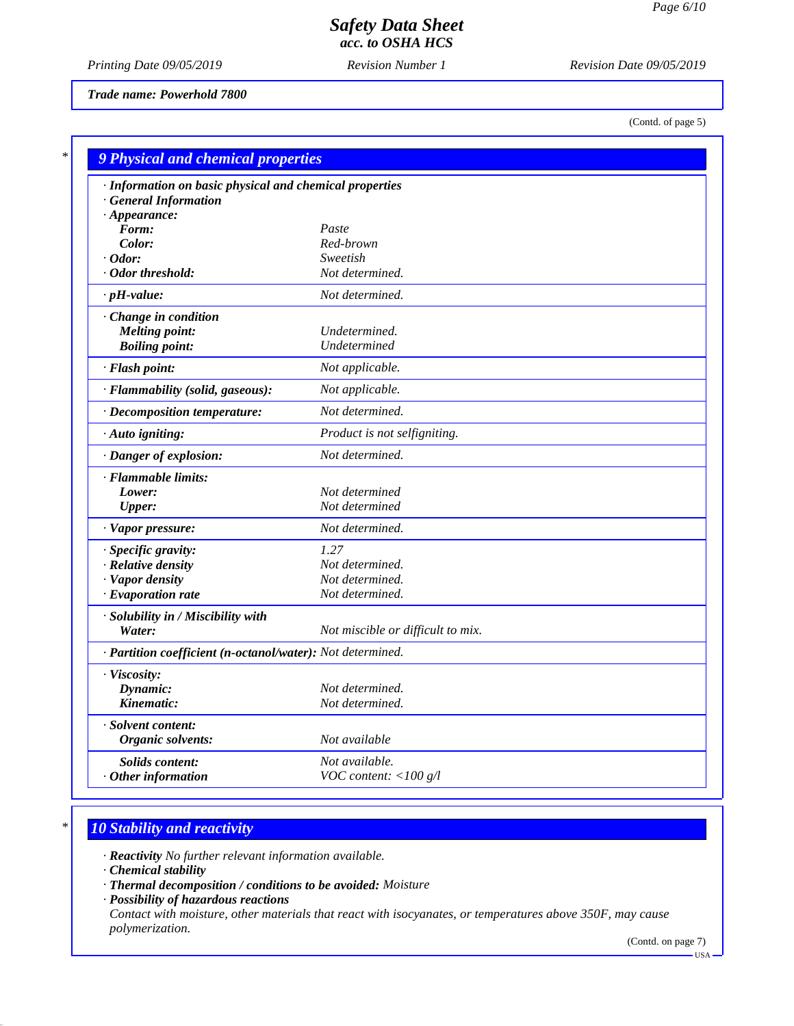*Printing Date 09/05/2019 Revision Number 1 Revision Date 09/05/2019*

*Trade name: Powerhold 7800*

(Contd. of page 5)

| · Information on basic physical and chemical properties    |                                   |  |  |
|------------------------------------------------------------|-----------------------------------|--|--|
| <b>General Information</b>                                 |                                   |  |  |
| $\cdot$ Appearance:                                        |                                   |  |  |
| Form:                                                      | Paste                             |  |  |
| Color:                                                     | Red-brown                         |  |  |
| $\cdot$ Odor:                                              | Sweetish                          |  |  |
| · Odor threshold:                                          | Not determined.                   |  |  |
| $\cdot$ pH-value:                                          | Not determined.                   |  |  |
| Change in condition                                        |                                   |  |  |
| <b>Melting point:</b>                                      | Undetermined.                     |  |  |
| <b>Boiling point:</b>                                      | Undetermined                      |  |  |
| · Flash point:                                             | Not applicable.                   |  |  |
| · Flammability (solid, gaseous):                           | Not applicable.                   |  |  |
| · Decomposition temperature:                               | Not determined.                   |  |  |
| · Auto igniting:                                           | Product is not selfigniting.      |  |  |
| · Danger of explosion:                                     | Not determined.                   |  |  |
| · Flammable limits:                                        |                                   |  |  |
| Lower:                                                     | Not determined                    |  |  |
| <b>Upper:</b>                                              | Not determined                    |  |  |
| · Vapor pressure:                                          | Not determined.                   |  |  |
| · Specific gravity:                                        | 1.27                              |  |  |
| · Relative density                                         | Not determined.                   |  |  |
| · Vapor density                                            | Not determined.                   |  |  |
| $\cdot$ Evaporation rate                                   | Not determined.                   |  |  |
| · Solubility in / Miscibility with                         |                                   |  |  |
| Water:                                                     | Not miscible or difficult to mix. |  |  |
| · Partition coefficient (n-octanol/water): Not determined. |                                   |  |  |
| · Viscosity:                                               |                                   |  |  |
| Dynamic:                                                   | Not determined.                   |  |  |
| Kinematic:                                                 | Not determined.                   |  |  |
| · Solvent content:                                         |                                   |  |  |
| Organic solvents:                                          | Not available                     |  |  |
| Solids content:                                            | Not available.                    |  |  |
| $·$ Other information                                      | VOC content: $<$ 100 g/l          |  |  |

# *\* 10 Stability and reactivity*

*· Reactivity No further relevant information available.*

*· Chemical stability*

*· Thermal decomposition / conditions to be avoided: Moisture*

*· Possibility of hazardous reactions Contact with moisture, other materials that react with isocyanates, or temperatures above 350F, may cause polymerization.*

(Contd. on page 7)

USA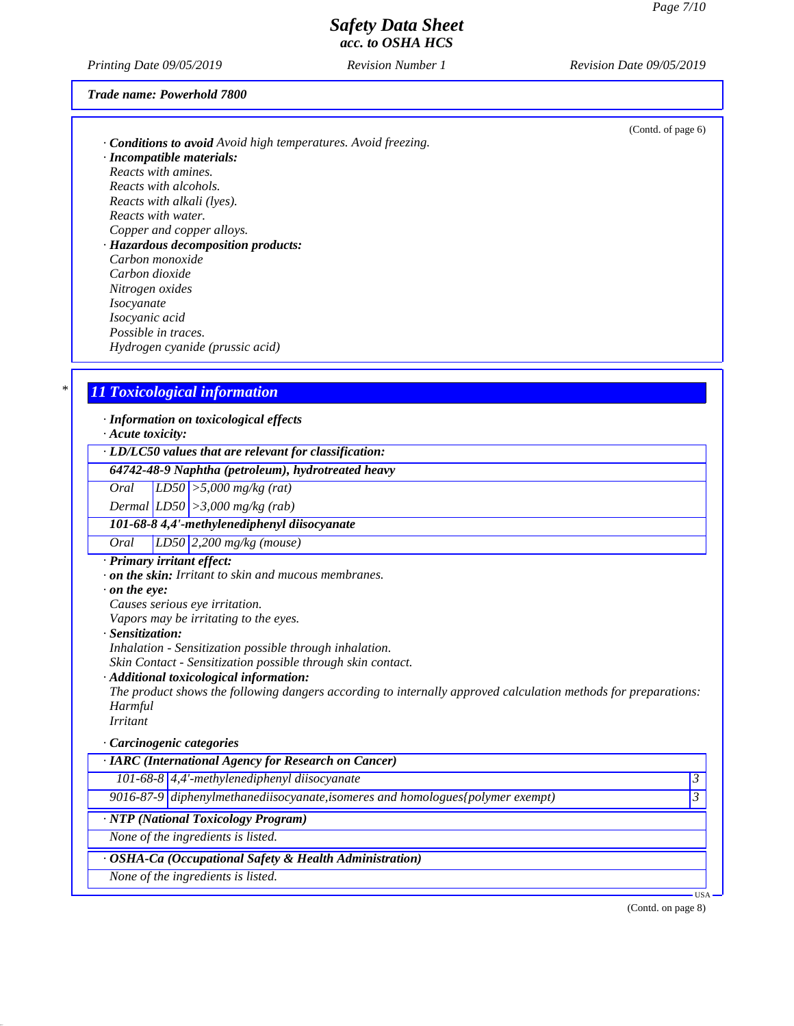*Printing Date 09/05/2019 Revision Number 1 Revision Date 09/05/2019*

#### *Trade name: Powerhold 7800*

|                                                                     | (Contd. of page 6) |
|---------------------------------------------------------------------|--------------------|
| <b>Conditions to avoid</b> Avoid high temperatures. Avoid freezing. |                    |
| · Incompatible materials:                                           |                    |
| Reacts with amines.                                                 |                    |
| Reacts with alcohols.                                               |                    |
| Reacts with alkali (lyes).                                          |                    |
| Reacts with water.                                                  |                    |
| Copper and copper alloys.                                           |                    |
| · Hazardous decomposition products:                                 |                    |
| Carbon monoxide                                                     |                    |
| Carbon dioxide                                                      |                    |
| Nitrogen oxides                                                     |                    |
| <i>Isocyanate</i>                                                   |                    |
| Isocyanic acid                                                      |                    |
| Possible in traces.                                                 |                    |
| Hydrogen cyanide (prussic acid)                                     |                    |
|                                                                     |                    |
|                                                                     |                    |

### *\* 11 Toxicological information*

*· Information on toxicological effects*

*· Acute toxicity:*

*· LD/LC50 values that are relevant for classification:*

*64742-48-9 Naphtha (petroleum), hydrotreated heavy*

*Oral LD50 >5,000 mg/kg (rat)*

*Dermal LD50 >3,000 mg/kg (rab)*

### *101-68-8 4,4'-methylenediphenyl diisocyanate*

*Oral LD50 2,200 mg/kg (mouse)*

*· Primary irritant effect:*

*· on the skin: Irritant to skin and mucous membranes.*

*· on the eye:*

*Causes serious eye irritation.*

*Vapors may be irritating to the eyes.*

*· Sensitization:*

*Inhalation - Sensitization possible through inhalation.*

*Skin Contact - Sensitization possible through skin contact.*

*· Additional toxicological information:*

*The product shows the following dangers according to internally approved calculation methods for preparations: Harmful Irritant*

### *· Carcinogenic categories*

| · IARC (International Agency for Research on Cancer)    |                                                                                 |       |  |
|---------------------------------------------------------|---------------------------------------------------------------------------------|-------|--|
|                                                         | $101-68-8$ 4,4'-methylenediphenyl diisocyanate                                  |       |  |
|                                                         | 9016-87-9 diphenylmethanediisocyanate, isomeres and homologues {polymer exempt) |       |  |
| · NTP (National Toxicology Program)                     |                                                                                 |       |  |
| None of the ingredients is listed.                      |                                                                                 |       |  |
| · OSHA-Ca (Occupational Safety & Health Administration) |                                                                                 |       |  |
|                                                         | None of the ingredients is listed.                                              |       |  |
|                                                         |                                                                                 | USA · |  |

(Contd. on page 8)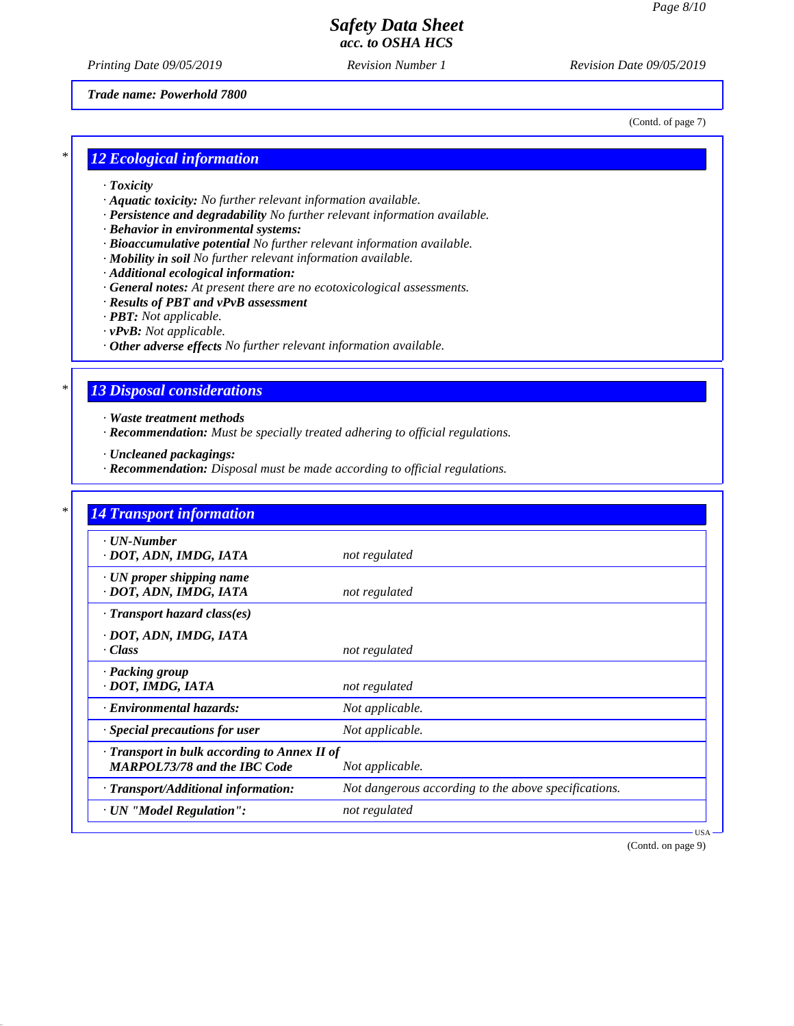*Printing Date 09/05/2019 Revision Number 1 Revision Date 09/05/2019*

#### *Trade name: Powerhold 7800*

(Contd. of page 7)

## *\* 12 Ecological information*

- *· Toxicity*
- *· Aquatic toxicity: No further relevant information available.*
- *· Persistence and degradability No further relevant information available.*
- *· Behavior in environmental systems:*
- *· Bioaccumulative potential No further relevant information available.*
- *· Mobility in soil No further relevant information available.*
- *· Additional ecological information:*
- *· General notes: At present there are no ecotoxicological assessments.*
- *· Results of PBT and vPvB assessment*
- *· PBT: Not applicable.*
- *· vPvB: Not applicable.*
- *· Other adverse effects No further relevant information available.*

### *\* 13 Disposal considerations*

*· Waste treatment methods*

*· Recommendation: Must be specially treated adhering to official regulations.*

*· Uncleaned packagings:*

*· Recommendation: Disposal must be made according to official regulations.*

| $\cdot$ UN-Number                            |                                                      |
|----------------------------------------------|------------------------------------------------------|
| · DOT, ADN, IMDG, IATA                       | not regulated                                        |
| · UN proper shipping name                    |                                                      |
| · DOT, ADN, IMDG, IATA                       | not regulated                                        |
| $\cdot$ Transport hazard class(es)           |                                                      |
| · DOT, ADN, IMDG, IATA                       |                                                      |
| $\cdot Class$                                | not regulated                                        |
| · Packing group                              |                                                      |
| · DOT, IMDG, IATA                            | not regulated                                        |
| · Environmental hazards:                     | Not applicable.                                      |
| · Special precautions for user               | Not applicable.                                      |
| · Transport in bulk according to Annex II of |                                                      |
| <b>MARPOL73/78 and the IBC Code</b>          | Not applicable.                                      |
| · Transport/Additional information:          | Not dangerous according to the above specifications. |
| · UN "Model Regulation":                     | not regulated                                        |

(Contd. on page 9)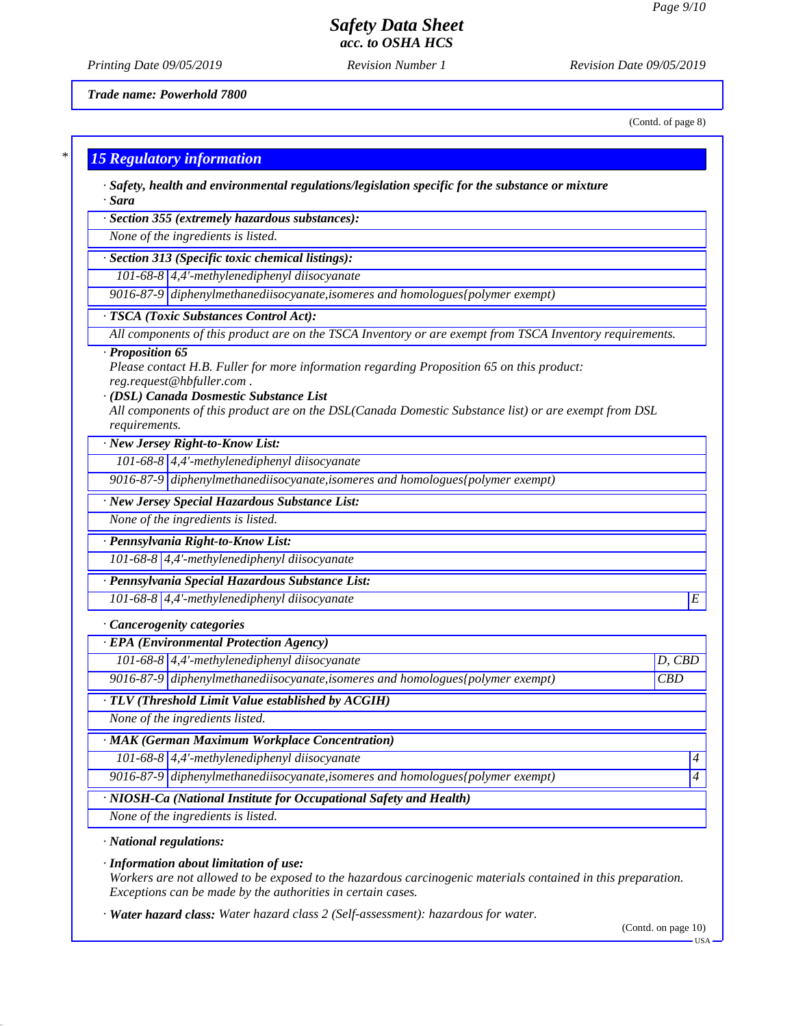*Printing Date 09/05/2019 Revision Number 1 Revision Date 09/05/2019*

*Trade name: Powerhold 7800*

(Contd. of page 8)

| $*1$ |                                  |  |  |
|------|----------------------------------|--|--|
|      | <b>15 Regulatory information</b> |  |  |
|      |                                  |  |  |

*· Safety, health and environmental regulations/legislation specific for the substance or mixture · Sara*

*· Section 355 (extremely hazardous substances):*

*None of the ingredients is listed.*

*· Section 313 (Specific toxic chemical listings):*

*101-68-8 4,4'-methylenediphenyl diisocyanate*

*9016-87-9 diphenylmethanediisocyanate,isomeres and homologues{polymer exempt)*

*· TSCA (Toxic Substances Control Act):*

*All components of this product are on the TSCA Inventory or are exempt from TSCA Inventory requirements.*

#### *· Proposition 65*

*Please contact H.B. Fuller for more information regarding Proposition 65 on this product: reg.request@hbfuller.com .*

*· (DSL) Canada Dosmestic Substance List*

*All components of this product are on the DSL(Canada Domestic Substance list) or are exempt from DSL requirements.*

*· New Jersey Right-to-Know List:*

*101-68-8 4,4'-methylenediphenyl diisocyanate*

*9016-87-9 diphenylmethanediisocyanate,isomeres and homologues{polymer exempt)*

*· New Jersey Special Hazardous Substance List:*

*None of the ingredients is listed.*

*· Pennsylvania Right-to-Know List:*

*101-68-8 4,4'-methylenediphenyl diisocyanate*

*· Pennsylvania Special Hazardous Substance List:*

*101-68-8 4,4'-methylenediphenyl diisocyanate E* 

#### *· Cancerogenity categories*

*· EPA (Environmental Protection Agency)*

*101-68-8 4,4'-methylenediphenyl diisocyanate D, CBD*

*9016-87-9 diphenylmethanediisocyanate,isomeres and homologues{polymer exempt) CBD*

*· TLV (Threshold Limit Value established by ACGIH)*

*None of the ingredients listed.*

*· MAK (German Maximum Workplace Concentration)*

*101-68-8 4,4'-methylenediphenyl diisocyanate 4* 

*9016-87-9 diphenylmethanediisocyanate,isomeres and homologues{polymer exempt) 4* 

*· NIOSH-Ca (National Institute for Occupational Safety and Health)*

*None of the ingredients is listed.*

*· National regulations:*

*· Information about limitation of use:*

*Workers are not allowed to be exposed to the hazardous carcinogenic materials contained in this preparation. Exceptions can be made by the authorities in certain cases.*

*· Water hazard class: Water hazard class 2 (Self-assessment): hazardous for water.*

(Contd. on page 10)

USA